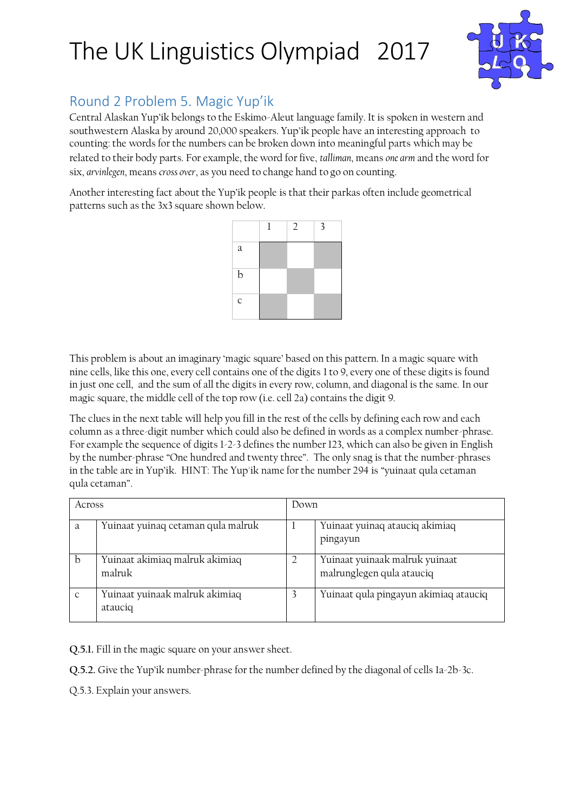

#### Round 2 Problem 5. Magic Yup'ik

Central Alaskan Yup'ik belongs to the Eskimo-Aleut language family. It is spoken in western and southwestern Alaska by around 20,000 speakers. Yup'ik people have an interesting approach to counting: the words for the numbers can be broken down into meaningful parts which may be related to their body parts. For example, the word for five, *talliman*, means *one arm* and the word for six, *arvinlegen*, means *cross over*, as you need to change hand to go on counting.

Another interesting fact about the Yup'ik people is that their parkas often include geometrical patterns such as the 3x3 square shown below.



This problem is about an imaginary 'magic square' based on this pattern. In a magic square with nine cells, like this one, every cell contains one of the digits 1 to 9, every one of these digits is found in just one cell, and the sum of all the digits in every row, column, and diagonal is the same. In our magic square, the middle cell of the top row (i.e. cell 2a) contains the digit 9.

The clues in the next table will help you fill in the rest of the cells by defining each row and each column as a three-digit number which could also be defined in words as a complex number-phrase. For example the sequence of digits 1-2-3 defines the number 123, which can also be given in English by the number-phrase "One hundred and twenty three". The only snag is that the number-phrases in the table are in Yup'ik. HINT: The Yup'ik name for the number 294 is "yuinaat qula cetaman qula cetaman".

| Across       |                                           | Down |                                                             |
|--------------|-------------------------------------------|------|-------------------------------------------------------------|
| a            | Yuinaat yuinaq cetaman qula malruk        |      | Yuinaat yuinaq atauciq akimiaq<br>pingayun                  |
| b            | Yuinaat akimiaq malruk akimiaq<br>malruk  |      | Yuinaat yuinaak malruk yuinaat<br>malrunglegen qula atauciq |
| $\mathsf{C}$ | Yuinaat yuinaak malruk akimiaq<br>atauciq |      | Yuinaat qula pingayun akimiaq atauciq                       |

**Q.5.1.** Fill in the magic square on your answer sheet.

**Q.5.2.** Give the Yup'ik number-phrase for the number defined by the diagonal of cells 1a-2b-3c.

Q.5.3. Explain your answers.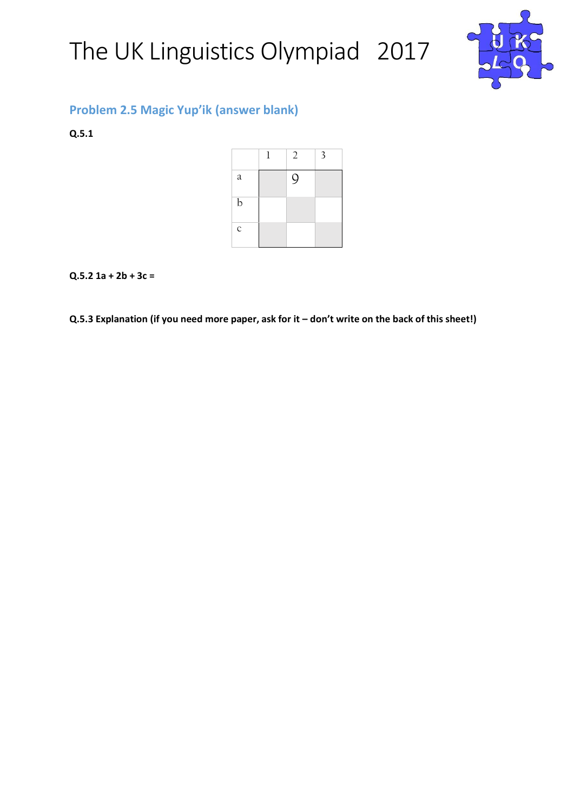

#### **Problem 2.5 Magic Yup'ik (answer blank)**

**Q.5.1** 

|             | 1 | $\overline{2}$ | 3 |
|-------------|---|----------------|---|
| $\rm{a}$    |   | 9              |   |
| b           |   |                |   |
| $\mathsf C$ |   |                |   |

#### **Q.5.2 1a + 2b + 3c =**

**Q.5.3 Explanation (if you need more paper, ask for it – don't write on the back of this sheet!)**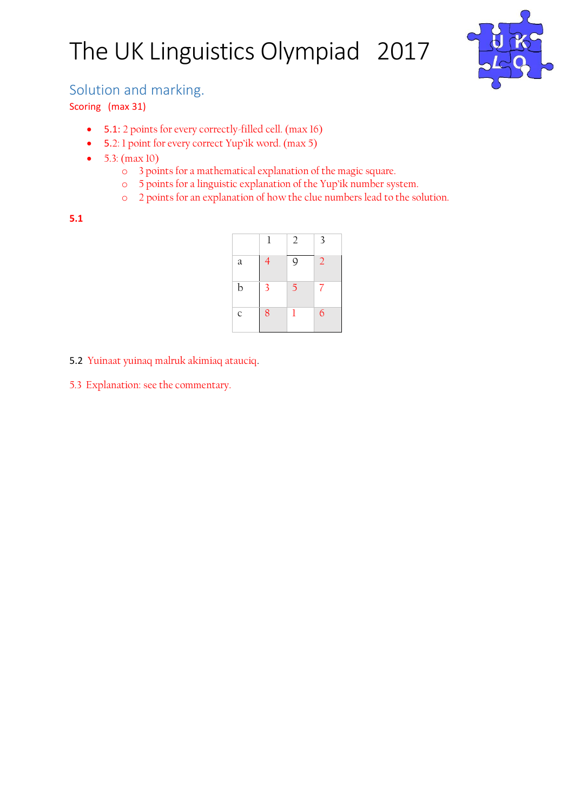

#### Solution and marking.

Scoring (max 31)

- 5.1: 2 points for every correctly-filled cell. (max 16)
- 5.2: 1 point for every correct Yup'ik word. (max 5)
- $5.3: (max 10)$ 
	- o 3 points for a mathematical explanation of the magic square.
	- o 5 points for a linguistic explanation of the Yup'ik number system.
	- o 2 points for an explanation of how the clue numbers lead to the solution.

**5.1** 

|             | 1 | 2 | 3              |
|-------------|---|---|----------------|
| a           | 4 | 9 | $\overline{2}$ |
| b           | 3 | 5 | 7              |
| $\mathsf C$ | 8 | ı | 6              |

5.2 Yuinaat yuinaq malruk akimiaq atauciq.

5.3 Explanation: see the commentary.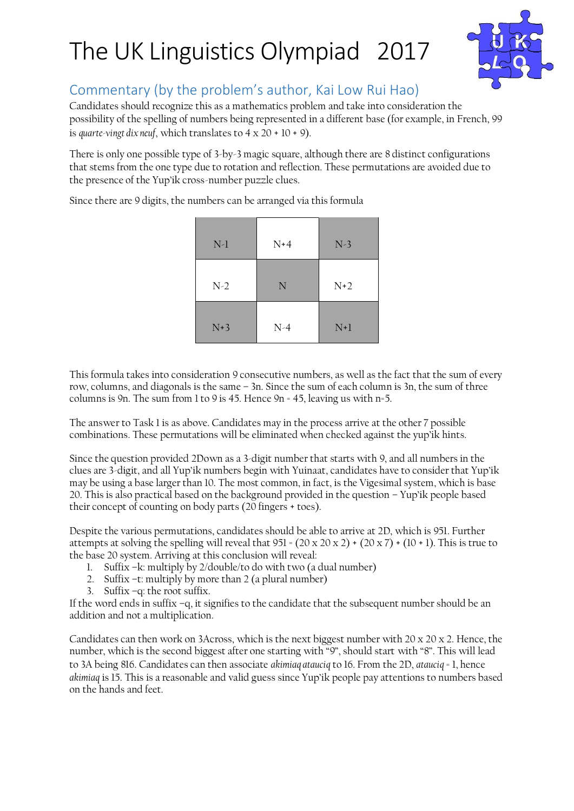

#### Commentary (by the problem's author, Kai Low Rui Hao)

Candidates should recognize this as a mathematics problem and take into consideration the possibility of the spelling of numbers being represented in a different base (for example, in French, 99 is *quarte-vingt dix neuf*, which translates to 4 x 20 + 10 + 9).

There is only one possible type of 3-by-3 magic square, although there are 8 distinct configurations that stems from the one type due to rotation and reflection. These permutations are avoided due to the presence of the Yup'ik cross-number puzzle clues.

Since there are 9 digits, the numbers can be arranged via this formula

| $N-1$ | $N+4$       | $N-3$ |
|-------|-------------|-------|
| $N-2$ | $\mathbf N$ | $N+2$ |
| $N+3$ | $N-4$       | $N+1$ |

This formula takes into consideration 9 consecutive numbers, as well as the fact that the sum of every row, columns, and diagonals is the same – 3n. Since the sum of each column is 3n, the sum of three columns is 9n. The sum from 1 to 9 is 45. Hence 9n = 45, leaving us with n=5.

The answer to Task 1 is as above. Candidates may in the process arrive at the other 7 possible combinations. These permutations will be eliminated when checked against the yup'ik hints.

Since the question provided 2Down as a 3-digit number that starts with 9, and all numbers in the clues are 3-digit, and all Yup'ik numbers begin with Yuinaat, candidates have to consider that Yup'ik may be using a base larger than 10. The most common, in fact, is the Vigesimal system, which is base 20. This is also practical based on the background provided in the question – Yup'ik people based their concept of counting on body parts (20 fingers + toes).

Despite the various permutations, candidates should be able to arrive at 2D, which is 951. Further attempts at solving the spelling will reveal that  $951 = (20 \times 20 \times 2) + (20 \times 7) + (10 + 1)$ . This is true to the base 20 system. Arriving at this conclusion will reveal:

- 1. Suffix –k: multiply by 2/double/to do with two (a dual number)
- 2. Suffix -t: multiply by more than 2 (a plural number)
- 3. Suffix –q: the root suffix.

If the word ends in suffix –q, it signifies to the candidate that the subsequent number should be an addition and not a multiplication.

Candidates can then work on 3Across, which is the next biggest number with 20 x 20 x 2. Hence, the number, which is the second biggest after one starting with "9", should start with "8". This will lead to 3A being 816. Candidates can then associate *akimiaq atauciq* to 16. From the 2D, *atauciq* = 1, hence *akimiaq* is 15. This is a reasonable and valid guess since Yup'ik people pay attentions to numbers based on the hands and feet.